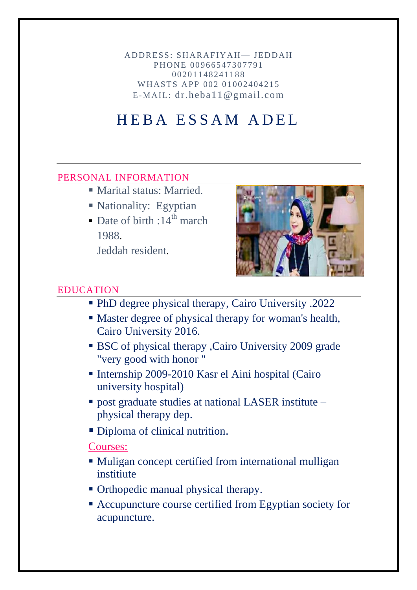ADDRESS: SHARAFIYAH— JEDDAH PHONE 00966547307791 0 0 20 11 48 24 11 88 WHASTS APP 002 01002404215  $E$ -MAIL: dr.heba11@gmail.com

# H E B A E S S A M A D E L

#### PERSONAL INFORMATION

- Marital status: Married.
- Nationality: Egyptian
- Date of birth :  $14^{th}$  march 1988.

Jeddah resident.



#### EDUCATION

- PhD degree physical therapy, Cairo University .2022
- Master degree of physical therapy for woman's health, Cairo University 2016.
- BSC of physical therapy ,Cairo University 2009 grade "very good with honor "
- Internship 2009-2010 Kasr el Aini hospital (Cairo university hospital)
- post graduate studies at national LASER institute physical therapy dep.
- Diploma of clinical nutrition.

#### Courses:

- Muligan concept certified from international mulligan institiute
- Orthopedic manual physical therapy.
- Accupuncture course certified from Egyptian society for acupuncture.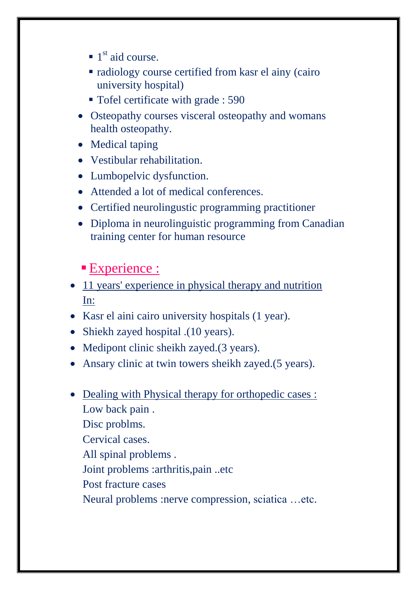- $\blacksquare$  1<sup>st</sup> aid course.
- radiology course certified from kasr el ainy (cairo university hospital)
- Tofel certificate with grade : 590
- Osteopathy courses visceral osteopathy and womans health osteopathy.
- Medical taping
- Vestibular rehabilitation.
- Lumbopelvic dysfunction.
- Attended a lot of medical conferences.
- Certified neurolingustic programming practitioner
- Diploma in neurolinguistic programming from Canadian training center for human resource

## **Experience:**

- 11 years' experience in physical therapy and nutrition In:
- Kasr el aini cairo university hospitals (1 year).
- Shiekh zayed hospital .(10 years).
- Medipont clinic sheikh zayed.(3 years).
- Ansary clinic at twin towers sheikh zayed.(5 years).
- Dealing with Physical therapy for orthopedic cases : Low back pain . Disc problms. Cervical cases. All spinal problems . Joint problems :arthritis,pain ..etc Post fracture cases Neural problems :nerve compression, sciatica …etc.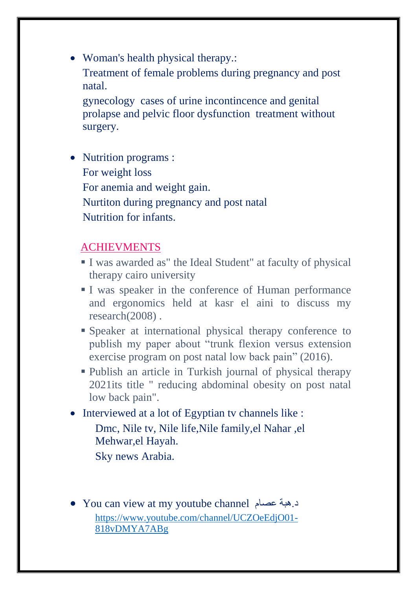• Woman's health physical therapy.: Treatment of female problems during pregnancy and post natal. gynecology cases of urine incontincence and genital prolapse and pelvic floor dysfunction treatment without

surgery.

• Nutrition programs : For weight loss For anemia and weight gain. Nurtiton during pregnancy and post natal Nutrition for infants.

### ACHIEVMENTS

- I was awarded as" the Ideal Student" at faculty of physical therapy cairo university
- I was speaker in the conference of Human performance and ergonomics held at kasr el aini to discuss my research(2008) .
- Speaker at international physical therapy conference to publish my paper about "trunk flexion versus extension" exercise program on post natal low back pain" (2016).
- Publish an article in Turkish journal of physical therapy 2021its title " reducing abdominal obesity on post natal low back pain".
- Interviewed at a lot of Egyptian tv channels like : Dmc, Nile tv, Nile life,Nile family,el Nahar ,el Mehwar,el Hayah. Sky news Arabia.
- You can view at my youtube channel عصام هبة.د [https://www.youtube.com/channel/UCZOeEdjO01-](https://www.youtube.com/channel/UCZOeEdjO01-818vDMYA7ABg) [818vDMYA7ABg](https://www.youtube.com/channel/UCZOeEdjO01-818vDMYA7ABg)